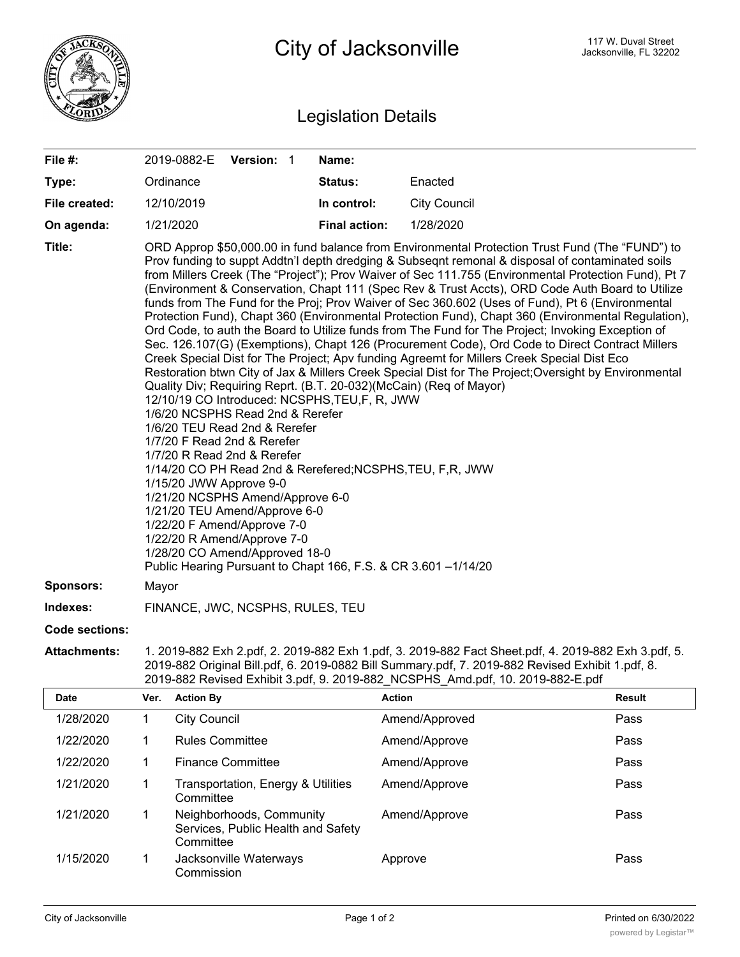

## Legislation Details

| File #:               |                                                                                                                                                                                                                                                                                                                                                                                                                                                                                                                                                                                                                                                                                                                                                                                                                                                                                                                                                                                                                                                                                                                                                                                                                                                                                                                                                                                                                                                                                                                                                                                                                                    | 2019-0882-E Version: 1 |                                                                |  | Name:                |                     |               |
|-----------------------|------------------------------------------------------------------------------------------------------------------------------------------------------------------------------------------------------------------------------------------------------------------------------------------------------------------------------------------------------------------------------------------------------------------------------------------------------------------------------------------------------------------------------------------------------------------------------------------------------------------------------------------------------------------------------------------------------------------------------------------------------------------------------------------------------------------------------------------------------------------------------------------------------------------------------------------------------------------------------------------------------------------------------------------------------------------------------------------------------------------------------------------------------------------------------------------------------------------------------------------------------------------------------------------------------------------------------------------------------------------------------------------------------------------------------------------------------------------------------------------------------------------------------------------------------------------------------------------------------------------------------------|------------------------|----------------------------------------------------------------|--|----------------------|---------------------|---------------|
| Type:                 |                                                                                                                                                                                                                                                                                                                                                                                                                                                                                                                                                                                                                                                                                                                                                                                                                                                                                                                                                                                                                                                                                                                                                                                                                                                                                                                                                                                                                                                                                                                                                                                                                                    | Ordinance              |                                                                |  | Status:              | Enacted             |               |
| File created:         |                                                                                                                                                                                                                                                                                                                                                                                                                                                                                                                                                                                                                                                                                                                                                                                                                                                                                                                                                                                                                                                                                                                                                                                                                                                                                                                                                                                                                                                                                                                                                                                                                                    | 12/10/2019             |                                                                |  | In control:          | <b>City Council</b> |               |
| On agenda:            |                                                                                                                                                                                                                                                                                                                                                                                                                                                                                                                                                                                                                                                                                                                                                                                                                                                                                                                                                                                                                                                                                                                                                                                                                                                                                                                                                                                                                                                                                                                                                                                                                                    | 1/21/2020              |                                                                |  | <b>Final action:</b> | 1/28/2020           |               |
| Title:                | ORD Approp \$50,000.00 in fund balance from Environmental Protection Trust Fund (The "FUND") to<br>Prov funding to suppt Addtn'l depth dredging & Subseqnt remonal & disposal of contaminated soils<br>from Millers Creek (The "Project"); Prov Waiver of Sec 111.755 (Environmental Protection Fund), Pt 7<br>(Environment & Conservation, Chapt 111 (Spec Rev & Trust Accts), ORD Code Auth Board to Utilize<br>funds from The Fund for the Proj; Prov Waiver of Sec 360.602 (Uses of Fund), Pt 6 (Environmental<br>Protection Fund), Chapt 360 (Environmental Protection Fund), Chapt 360 (Environmental Regulation),<br>Ord Code, to auth the Board to Utilize funds from The Fund for The Project; Invoking Exception of<br>Sec. 126.107(G) (Exemptions), Chapt 126 (Procurement Code), Ord Code to Direct Contract Millers<br>Creek Special Dist for The Project; Apv funding Agreemt for Millers Creek Special Dist Eco<br>Restoration btwn City of Jax & Millers Creek Special Dist for The Project; Oversight by Environmental<br>Quality Div; Requiring Reprt. (B.T. 20-032)(McCain) (Req of Mayor)<br>12/10/19 CO Introduced: NCSPHS, TEU, F, R, JWW<br>1/6/20 NCSPHS Read 2nd & Rerefer<br>1/6/20 TEU Read 2nd & Rerefer<br>1/7/20 F Read 2nd & Rerefer<br>1/7/20 R Read 2nd & Rerefer<br>1/14/20 CO PH Read 2nd & Rerefered; NCSPHS, TEU, F, R, JWW<br>1/15/20 JWW Approve 9-0<br>1/21/20 NCSPHS Amend/Approve 6-0<br>1/21/20 TEU Amend/Approve 6-0<br>1/22/20 F Amend/Approve 7-0<br>1/22/20 R Amend/Approve 7-0<br>1/28/20 CO Amend/Approved 18-0<br>Public Hearing Pursuant to Chapt 166, F.S. & CR 3.601 -1/14/20 |                        |                                                                |  |                      |                     |               |
| <b>Sponsors:</b>      | Mayor                                                                                                                                                                                                                                                                                                                                                                                                                                                                                                                                                                                                                                                                                                                                                                                                                                                                                                                                                                                                                                                                                                                                                                                                                                                                                                                                                                                                                                                                                                                                                                                                                              |                        |                                                                |  |                      |                     |               |
| Indexes:              | FINANCE, JWC, NCSPHS, RULES, TEU                                                                                                                                                                                                                                                                                                                                                                                                                                                                                                                                                                                                                                                                                                                                                                                                                                                                                                                                                                                                                                                                                                                                                                                                                                                                                                                                                                                                                                                                                                                                                                                                   |                        |                                                                |  |                      |                     |               |
| <b>Code sections:</b> |                                                                                                                                                                                                                                                                                                                                                                                                                                                                                                                                                                                                                                                                                                                                                                                                                                                                                                                                                                                                                                                                                                                                                                                                                                                                                                                                                                                                                                                                                                                                                                                                                                    |                        |                                                                |  |                      |                     |               |
| <b>Attachments:</b>   | 1. 2019-882 Exh 2.pdf, 2. 2019-882 Exh 1.pdf, 3. 2019-882 Fact Sheet.pdf, 4. 2019-882 Exh 3.pdf, 5.<br>2019-882 Original Bill.pdf, 6. 2019-0882 Bill Summary.pdf, 7. 2019-882 Revised Exhibit 1.pdf, 8.<br>2019-882 Revised Exhibit 3.pdf, 9. 2019-882 NCSPHS Amd.pdf, 10. 2019-882-E.pdf                                                                                                                                                                                                                                                                                                                                                                                                                                                                                                                                                                                                                                                                                                                                                                                                                                                                                                                                                                                                                                                                                                                                                                                                                                                                                                                                          |                        |                                                                |  |                      |                     |               |
| <b>Date</b>           | Ver.                                                                                                                                                                                                                                                                                                                                                                                                                                                                                                                                                                                                                                                                                                                                                                                                                                                                                                                                                                                                                                                                                                                                                                                                                                                                                                                                                                                                                                                                                                                                                                                                                               | <b>Action By</b>       |                                                                |  |                      | <b>Action</b>       | <b>Result</b> |
| 1/28/2020             | 1                                                                                                                                                                                                                                                                                                                                                                                                                                                                                                                                                                                                                                                                                                                                                                                                                                                                                                                                                                                                                                                                                                                                                                                                                                                                                                                                                                                                                                                                                                                                                                                                                                  | <b>City Council</b>    |                                                                |  |                      | Amend/Approved      | Pass          |
| 1/22/2020             | 1                                                                                                                                                                                                                                                                                                                                                                                                                                                                                                                                                                                                                                                                                                                                                                                                                                                                                                                                                                                                                                                                                                                                                                                                                                                                                                                                                                                                                                                                                                                                                                                                                                  | <b>Rules Committee</b> |                                                                |  |                      | Amend/Approve       | Pass          |
| 1/22/2020             | 1                                                                                                                                                                                                                                                                                                                                                                                                                                                                                                                                                                                                                                                                                                                                                                                                                                                                                                                                                                                                                                                                                                                                                                                                                                                                                                                                                                                                                                                                                                                                                                                                                                  |                        | <b>Finance Committee</b>                                       |  |                      | Amend/Approve       | Pass          |
| 1/21/2020             | 1                                                                                                                                                                                                                                                                                                                                                                                                                                                                                                                                                                                                                                                                                                                                                                                                                                                                                                                                                                                                                                                                                                                                                                                                                                                                                                                                                                                                                                                                                                                                                                                                                                  | Committee              | Transportation, Energy & Utilities                             |  |                      | Amend/Approve       | Pass          |
| 1/21/2020             | 1                                                                                                                                                                                                                                                                                                                                                                                                                                                                                                                                                                                                                                                                                                                                                                                                                                                                                                                                                                                                                                                                                                                                                                                                                                                                                                                                                                                                                                                                                                                                                                                                                                  | Committee              | Neighborhoods, Community<br>Services, Public Health and Safety |  |                      | Amend/Approve       | Pass          |

Commission